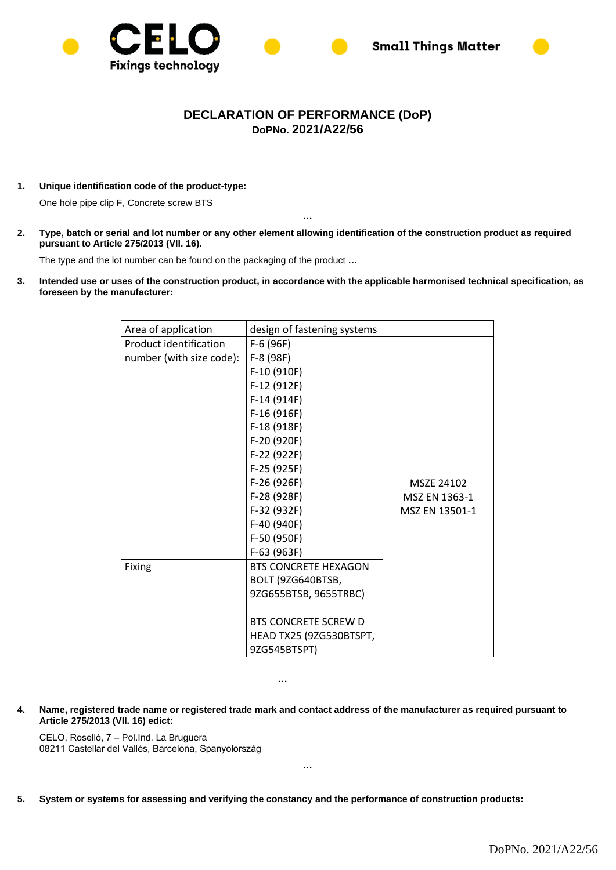



## **DECLARATION OF PERFORMANCE (DoP) DoPNo. 2021/A22/56**

**1. Unique identification code of the product-type:**

One hole pipe clip F, Concrete screw BTS

**2. Type, batch or serial and lot number or any other element allowing identification of the construction product as required pursuant to Article 275/2013 (VII. 16).**

**…**

The type and the lot number can be found on the packaging of the product **…**

**3. Intended use or uses of the construction product, in accordance with the applicable harmonised technical specification, as foreseen by the manufacturer:** 

| Area of application      | design of fastening systems |                |
|--------------------------|-----------------------------|----------------|
| Product identification   | $F-6(96F)$                  |                |
| number (with size code): | F-8 (98F)                   |                |
|                          | F-10 (910F)                 |                |
|                          | F-12 (912F)                 |                |
|                          | $F-14(914F)$                |                |
|                          | $F-16(916F)$                |                |
|                          | F-18 (918F)                 |                |
|                          | F-20 (920F)                 |                |
|                          | F-22 (922F)                 |                |
|                          | F-25 (925F)                 |                |
|                          | F-26 (926F)                 | MSZE 24102     |
|                          | F-28 (928F)                 | MSZ EN 1363-1  |
|                          | F-32 (932F)                 | MSZ EN 13501-1 |
|                          | F-40 (940F)                 |                |
|                          | F-50 (950F)                 |                |
|                          | F-63 (963F)                 |                |
| Fixing                   | <b>BTS CONCRETE HEXAGON</b> |                |
|                          | BOLT (9ZG640BTSB,           |                |
|                          | 9ZG655BTSB, 9655TRBC)       |                |
|                          |                             |                |
|                          | <b>BTS CONCRETE SCREW D</b> |                |
|                          | HEAD TX25 (9ZG530BTSPT,     |                |
|                          | 9ZG545BTSPT)                |                |

**…**

**4. Name, registered trade name or registered trade mark and contact address of the manufacturer as required pursuant to Article 275/2013 (VII. 16) edict:**

**…**

CELO, Roselló, 7 – Pol.Ind. La Bruguera 08211 Castellar del Vallés, Barcelona, Spanyolország

**5. System or systems for assessing and verifying the constancy and the performance of construction products:**